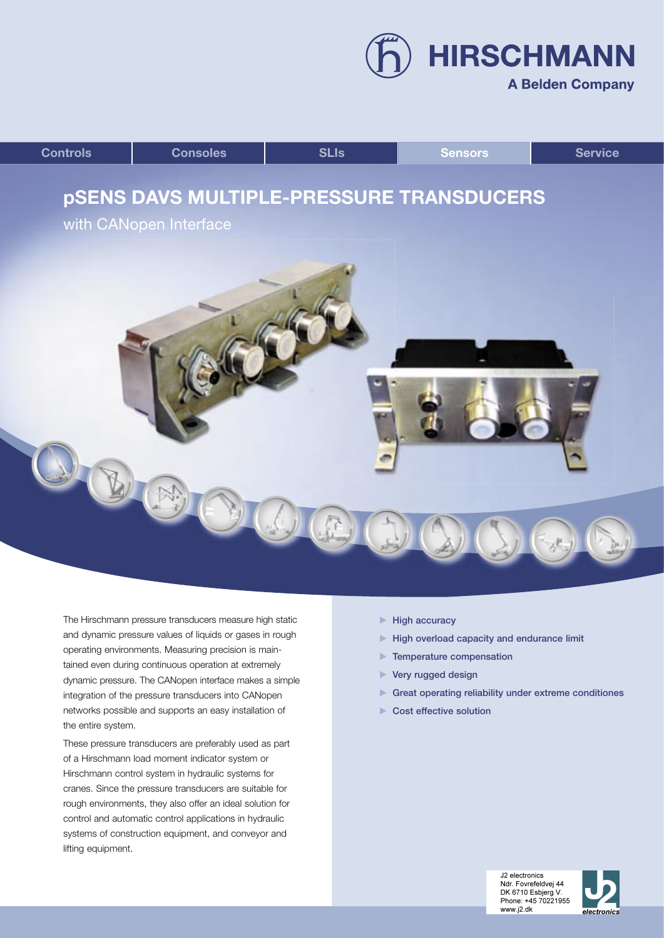**A Belden Company** 

**HIRSCHMANN** 



The Hirschmann pressure transducers measure high static and dynamic pressure values of liquids or gases in rough operating environments. Measuring precision is maintained even during continuous operation at extremely dynamic pressure. The CANopen interface makes a simple integration of the pressure transducers into CANopen networks possible and supports an easy installation of the entire system.

These pressure transducers are preferably used as part of a Hirschmann load moment indicator system or Hirschmann control system in hydraulic systems for cranes. Since the pressure transducers are suitable for rough environments, they also offer an ideal solution for control and automatic control applications in hydraulic systems of construction equipment, and conveyor and lifting equipment.

- $\blacktriangleright$  High accuracy
- $\blacktriangleright$  High overload capacity and endurance limit
- **Temperature compensation**
- ▶ Very rugged design
- Great operating reliability under extreme conditiones
- Cost effective solution